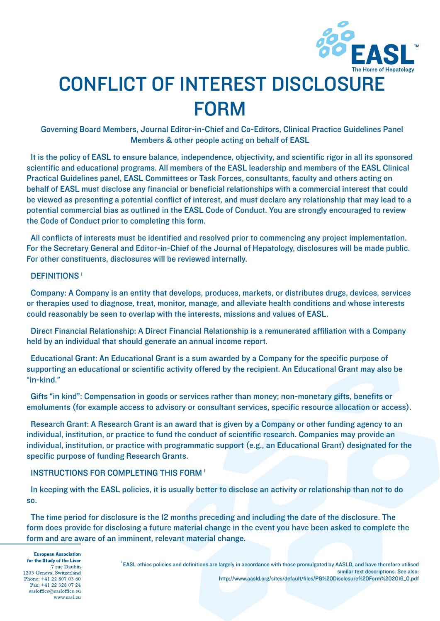

# CONFLICT OF INTEREST DISCLOSURE FORM

Governing Board Members, Journal Editor-in-Chief and Co-Editors, Clinical Practice Guidelines Panel Members & other people acting on behalf of EASL

It is the policy of EASL to ensure balance, independence, objectivity, and scientific rigor in all its sponsored scientific and educational programs. All members of the EASL leadership and members of the EASL Clinical Practical Guidelines panel, EASL Committees or Task Forces, consultants, faculty and others acting on behalf of EASL must disclose any financial or beneficial relationships with a commercial interest that could be viewed as presenting a potential conflict of interest, and must declare any relationship that may lead to a potential commercial bias as outlined in the EASL Code of Conduct. You are strongly encouraged to review the Code of Conduct prior to completing this form.

All conflicts of interests must be identified and resolved prior to commencing any project implementation. For the Secretary General and Editor-in-Chief of the Journal of Hepatology, disclosures will be made public. For other constituents, disclosures will be reviewed internally.

#### DEFINITIONS<sup>1</sup>

Company: A Company is an entity that develops, produces, markets, or distributes drugs, devices, services or therapies used to diagnose, treat, monitor, manage, and alleviate health conditions and whose interests could reasonably be seen to overlap with the interests, missions and values of EASL.

Direct Financial Relationship: A Direct Financial Relationship is a remunerated affiliation with a Company held by an individual that should generate an annual income report.

Educational Grant: An Educational Grant is a sum awarded by a Company for the specific purpose of supporting an educational or scientific activity offered by the recipient. An Educational Grant may also be "in-kind."

Gifts "in kind": Compensation in goods or services rather than money; non-monetary gifts, benefits or emoluments (for example access to advisory or consultant services, specific resource allocation or access).

Research Grant: A Research Grant is an award that is given by a Company or other funding agency to an individual, institution, or practice to fund the conduct of scientific research. Companies may provide an individual, institution, or practice with programmatic support (e.g., an Educational Grant) designated for the specific purpose of funding Research Grants.

#### INSTRUCTIONS FOR COMPLETING THIS FORM 1

In keeping with the EASL policies, it is usually better to disclose an activity or relationship than not to do so.

The time period for disclosure is the 12 months preceding and including the date of the disclosure. The form does provide for disclosing a future material change in the event you have been asked to complete the form and are aware of an imminent, relevant material change.

**European Association** for the Study of the Liver 7 rue Daubin 1203 Geneva, Switzerland Phone: +41 22 807 03 60 Fax: +41 22 328 07 24 easloffice@easloffice.eu www.easl.en

1 EASL ethics policies and definitions are largely in accordance with those promulgated by AASLD, and have therefore utilised similar text descriptions. See also: http://www.aasld.org/sites/default/files/PG%20Disclosure%20Form%202016\_0.pdf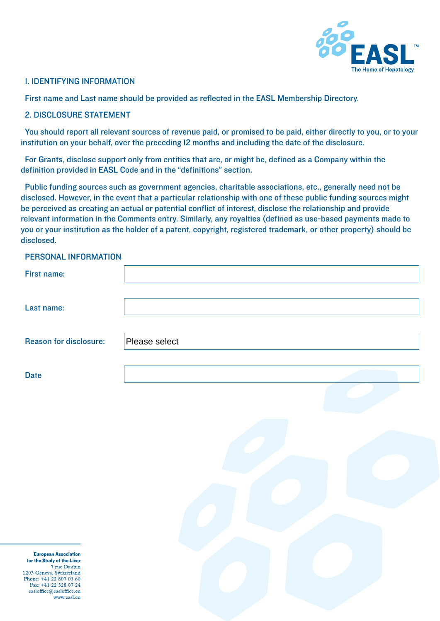

#### 1. IDENTIFYING INFORMATION

First name and Last name should be provided as reflected in the EASL Membership Directory.

#### 2. DISCLOSURE STATEMENT

You should report all relevant sources of revenue paid, or promised to be paid, either directly to you, or to your institution on your behalf, over the preceding 12 months and including the date of the disclosure.

For Grants, disclose support only from entities that are, or might be, defined as a Company within the definition provided in EASL Code and in the "definitions" section.

Public funding sources such as government agencies, charitable associations, etc., generally need not be disclosed. However, in the event that a particular relationship with one of these public funding sources might be perceived as creating an actual or potential conflict of interest, disclose the relationship and provide relevant information in the Comments entry. Similarly, any royalties (defined as use-based payments made to you or your institution as the holder of a patent, copyright, registered trademark, or other property) should be disclosed.

## PERSONAL INFORMATION

| <b>I LIIDUITE IN URINATION</b>                                            |               |
|---------------------------------------------------------------------------|---------------|
| <b>First name:</b>                                                        |               |
| Last name:                                                                |               |
| <b>Reason for disclosure:</b>                                             | Please select |
| <b>Date</b>                                                               |               |
|                                                                           |               |
|                                                                           |               |
|                                                                           |               |
|                                                                           |               |
|                                                                           |               |
|                                                                           |               |
| <b>European Association</b><br>for the Study of the Liver<br>7 rue Daubin |               |

1203 Geneva, Switzerland Phone: +41 22 807 03 60 Fax: +41 22 328 07 24 easloffice@easloffice.eu www.easl.en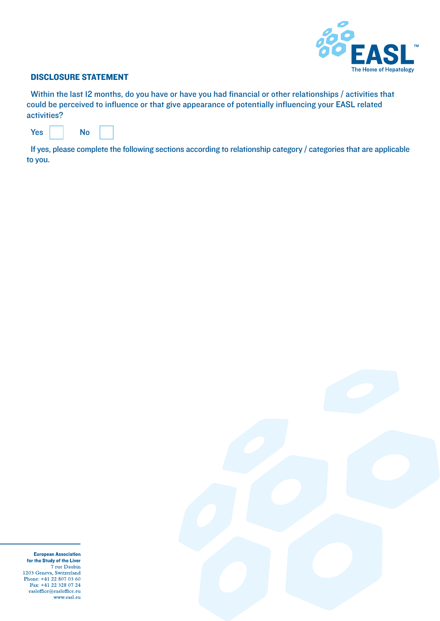

#### DISCLOSURE STATEMENT

Within the last 12 months, do you have or have you had financial or other relationships / activities that could be perceived to influence or that give appearance of potentially influencing your EASL related activities?

| Yes<br>No |
|-----------|
|-----------|

If yes, please complete the following sections according to relationship category / categories that are applicable to you.



**European Association** for the Study of the Liver 7 rue Daubin 1203 Geneva, Switzerland<br>Phone: +41 22 807 03 60 Fax: +41 22 328 07 24  $\mathsf{easloffice}\xspace @ \mathsf{easloffice.eu}$ www.easl.eu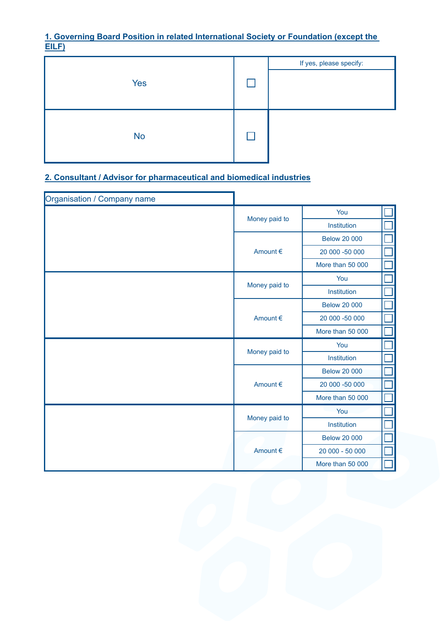## **1. Governing Board Position in related International Society or Foundation (except the EILF)**



# **2. Consultant / Advisor for pharmaceutical and biomedical industries**

| Organisation / Company name |               |                     |  |
|-----------------------------|---------------|---------------------|--|
|                             |               | You                 |  |
|                             | Money paid to | Institution         |  |
|                             |               | <b>Below 20 000</b> |  |
|                             | Amount €      | 20 000 -50 000      |  |
|                             |               | More than 50 000    |  |
|                             |               | You                 |  |
|                             | Money paid to | Institution         |  |
|                             |               | <b>Below 20 000</b> |  |
|                             | Amount €      | 20 000 -50 000      |  |
|                             |               | More than 50 000    |  |
|                             | Money paid to | You                 |  |
|                             |               | Institution         |  |
|                             | Amount €      | <b>Below 20 000</b> |  |
|                             |               | 20 000 -50 000      |  |
|                             |               | More than 50 000    |  |
|                             |               | You                 |  |
|                             | Money paid to | Institution         |  |
|                             |               | <b>Below 20 000</b> |  |
|                             | Amount €      | 20 000 - 50 000     |  |
|                             |               | More than 50 000    |  |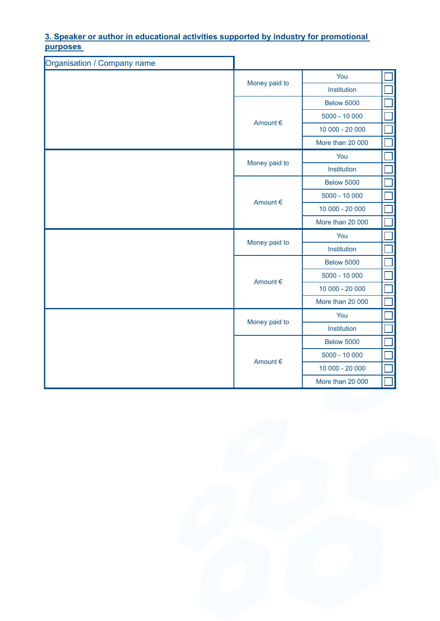**3. Speaker or author in educational activities supported by industry for promotional purposes** 

| Organisation / Company name |                  |                   |  |
|-----------------------------|------------------|-------------------|--|
|                             |                  | You               |  |
|                             | Money paid to    | Institution       |  |
|                             |                  | <b>Below 5000</b> |  |
|                             | Amount €         | $5000 - 10000$    |  |
|                             |                  | 10 000 - 20 000   |  |
|                             |                  | More than 20 000  |  |
|                             |                  | You               |  |
|                             | Money paid to    | Institution       |  |
|                             |                  | <b>Below 5000</b> |  |
|                             |                  | $5000 - 10000$    |  |
| Amount €                    | 10 000 - 20 000  |                   |  |
|                             |                  | More than 20 000  |  |
|                             | Money paid to    | You               |  |
|                             |                  | Institution       |  |
|                             | Amount €         | <b>Below 5000</b> |  |
|                             |                  | $5000 - 10000$    |  |
|                             |                  | 10 000 - 20 000   |  |
|                             |                  | More than 20 000  |  |
|                             | Money paid to    | You               |  |
|                             |                  | Institution       |  |
| Amount €                    |                  | <b>Below 5000</b> |  |
|                             | $5000 - 10000$   |                   |  |
|                             | 10 000 - 20 000  |                   |  |
|                             | More than 20 000 |                   |  |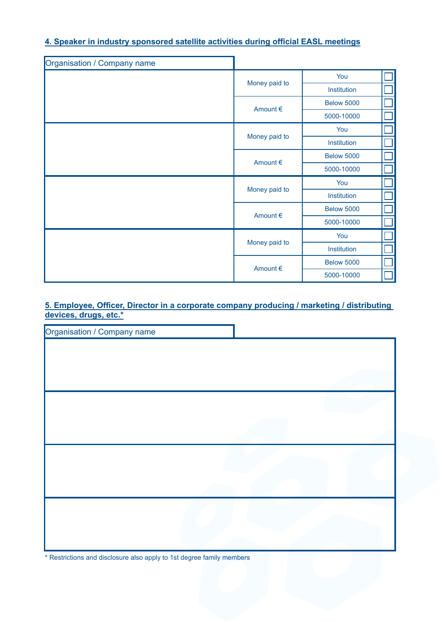## **4. Speaker in industry sponsored satellite activities during official EASL meetings**

| Organisation / Company name |               |                   |  |
|-----------------------------|---------------|-------------------|--|
|                             |               | You               |  |
|                             | Money paid to | Institution       |  |
|                             | Amount €      | <b>Below 5000</b> |  |
|                             |               | 5000-10000        |  |
|                             |               | You               |  |
|                             | Money paid to | Institution       |  |
|                             | Amount €      | <b>Below 5000</b> |  |
|                             |               | 5000-10000        |  |
|                             | Money paid to | You               |  |
|                             |               | Institution       |  |
|                             | Amount €      | <b>Below 5000</b> |  |
|                             |               | 5000-10000        |  |
|                             | Money paid to | You               |  |
|                             |               | Institution       |  |
|                             |               | <b>Below 5000</b> |  |
|                             | Amount €      | 5000-10000        |  |

**5. Employee, Officer, Director in a corporate company producing / marketing / distributing devices, drugs, etc.\***

| Organisation / Company name |  |
|-----------------------------|--|
|                             |  |
|                             |  |
|                             |  |
|                             |  |
|                             |  |
|                             |  |
|                             |  |
|                             |  |
|                             |  |
|                             |  |
|                             |  |
|                             |  |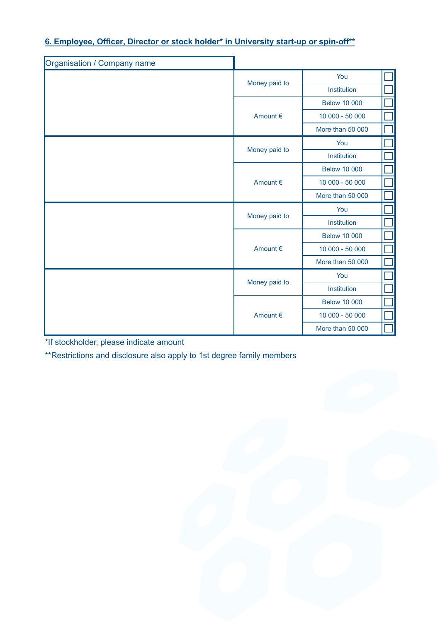# **6. Employee, Officer, Director or stock holder\* in University start-up or spin-off\*\***

| Organisation / Company name |               |                     |  |
|-----------------------------|---------------|---------------------|--|
| Money paid to               | You           |                     |  |
|                             | Institution   |                     |  |
|                             |               | <b>Below 10 000</b> |  |
|                             | Amount €      | 10 000 - 50 000     |  |
|                             |               | More than 50 000    |  |
|                             |               | You                 |  |
|                             | Money paid to | Institution         |  |
|                             |               | <b>Below 10 000</b> |  |
|                             | Amount €      | 10 000 - 50 000     |  |
|                             |               | More than 50 000    |  |
|                             | Money paid to | You                 |  |
|                             |               | Institution         |  |
|                             | Amount €      | <b>Below 10 000</b> |  |
|                             |               | 10 000 - 50 000     |  |
|                             |               | More than 50 000    |  |
|                             |               | You                 |  |
|                             | Money paid to | Institution         |  |
|                             | Amount €      | <b>Below 10 000</b> |  |
|                             |               | 10 000 - 50 000     |  |
|                             |               | More than 50 000    |  |

\*If stockholder, please indicate amount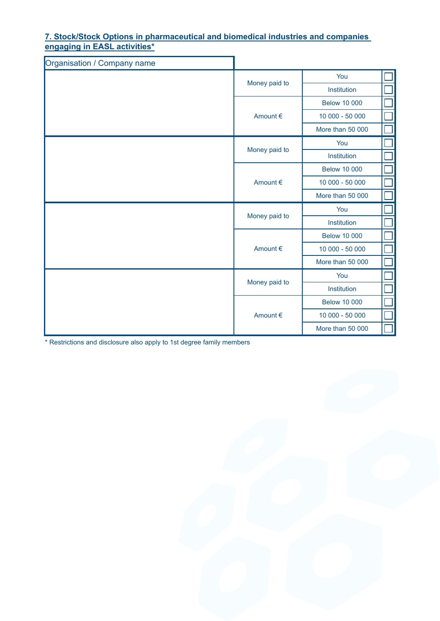### **7. Stock/Stock Options in pharmaceutical and biomedical industries and companies engaging in EASL activities\***

| Organisation / Company name |               |                     |  |
|-----------------------------|---------------|---------------------|--|
|                             | Money paid to | You                 |  |
|                             |               | Institution         |  |
|                             |               | <b>Below 10 000</b> |  |
|                             | Amount €      | 10 000 - 50 000     |  |
|                             |               | More than 50 000    |  |
|                             |               | You                 |  |
|                             | Money paid to | Institution         |  |
|                             |               | <b>Below 10 000</b> |  |
|                             | Amount €      | 10 000 - 50 000     |  |
|                             |               | More than 50 000    |  |
|                             | Money paid to | You                 |  |
|                             |               | Institution         |  |
|                             | Amount €      | <b>Below 10 000</b> |  |
|                             |               | 10 000 - 50 000     |  |
|                             |               | More than 50 000    |  |
|                             |               | You                 |  |
|                             | Money paid to | Institution         |  |
|                             | Amount €      | <b>Below 10 000</b> |  |
|                             |               | 10 000 - 50 000     |  |
|                             |               | More than 50 000    |  |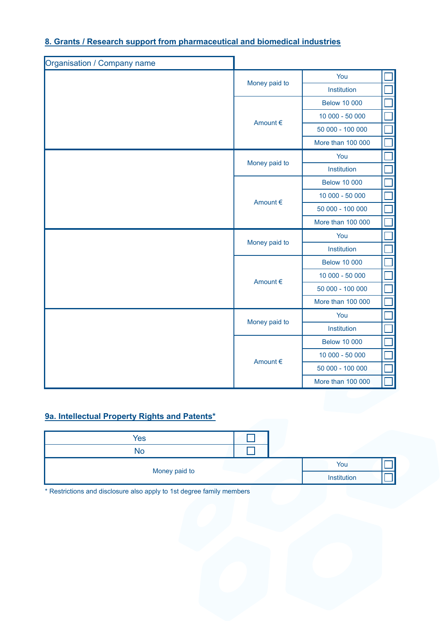# **8. Grants / Research support from pharmaceutical and biomedical industries**

| Organisation / Company name |                   |                     |  |
|-----------------------------|-------------------|---------------------|--|
|                             |                   | You                 |  |
|                             | Money paid to     | Institution         |  |
|                             |                   | <b>Below 10 000</b> |  |
|                             | Amount €          | 10 000 - 50 000     |  |
|                             |                   | 50 000 - 100 000    |  |
|                             |                   | More than 100 000   |  |
|                             |                   | You                 |  |
|                             | Money paid to     | Institution         |  |
|                             |                   | <b>Below 10 000</b> |  |
|                             | Amount €          | 10 000 - 50 000     |  |
|                             |                   | 50 000 - 100 000    |  |
|                             |                   | More than 100 000   |  |
|                             | Money paid to     | You                 |  |
|                             |                   | Institution         |  |
|                             | Amount €          | <b>Below 10 000</b> |  |
|                             |                   | 10 000 - 50 000     |  |
|                             |                   | 50 000 - 100 000    |  |
|                             |                   | More than 100 000   |  |
|                             |                   | You                 |  |
| Money paid to<br>Amount €   |                   | Institution         |  |
|                             |                   | <b>Below 10 000</b> |  |
|                             |                   | 10 000 - 50 000     |  |
|                             |                   | 50 000 - 100 000    |  |
|                             | More than 100 000 |                     |  |

## **9a. Intellectual Property Rights and Patents\***

| Yes           |  |             |  |
|---------------|--|-------------|--|
| No            |  |             |  |
|               |  | You         |  |
| Money paid to |  | Institution |  |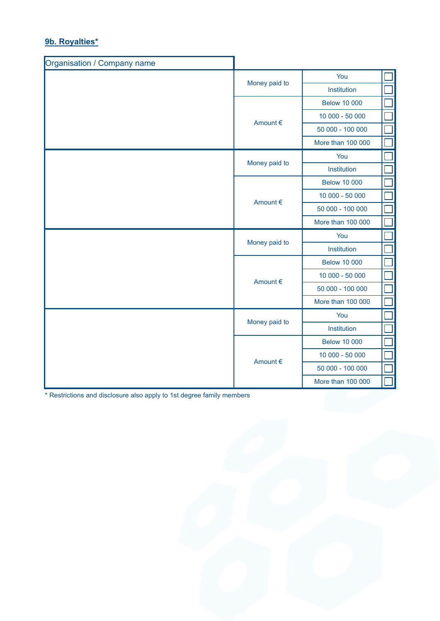# **9b. Royalties\***

| Organisation / Company name |               |                     |  |
|-----------------------------|---------------|---------------------|--|
|                             |               | You                 |  |
|                             | Money paid to | Institution         |  |
|                             |               | <b>Below 10 000</b> |  |
|                             | Amount €      | 10 000 - 50 000     |  |
|                             |               | 50 000 - 100 000    |  |
|                             |               | More than 100 000   |  |
|                             |               | You                 |  |
|                             | Money paid to | Institution         |  |
|                             |               | <b>Below 10 000</b> |  |
|                             | Amount €      | 10 000 - 50 000     |  |
|                             |               | 50 000 - 100 000    |  |
|                             |               | More than 100 000   |  |
|                             | Money paid to | You                 |  |
|                             |               | Institution         |  |
|                             | Amount €      | <b>Below 10 000</b> |  |
|                             |               | 10 000 - 50 000     |  |
|                             |               | 50 000 - 100 000    |  |
|                             |               | More than 100 000   |  |
|                             | Money paid to | You                 |  |
|                             |               | Institution         |  |
| Amount €                    |               | <b>Below 10 000</b> |  |
|                             |               | 10 000 - 50 000     |  |
|                             |               | 50 000 - 100 000    |  |
|                             |               | More than 100 000   |  |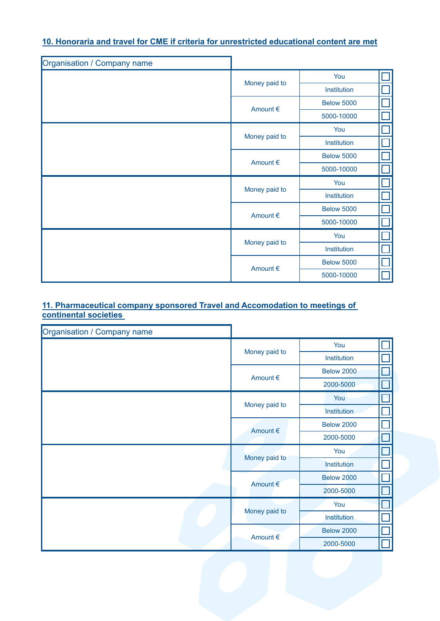## **10. Honoraria and travel for CME if criteria for unrestricted educational content are met**

| Organisation / Company name |               |                   |  |
|-----------------------------|---------------|-------------------|--|
|                             |               | You               |  |
|                             | Money paid to | Institution       |  |
|                             | Amount €      | <b>Below 5000</b> |  |
|                             |               | 5000-10000        |  |
|                             |               | You               |  |
|                             | Money paid to | Institution       |  |
|                             | Amount €      | <b>Below 5000</b> |  |
|                             |               | 5000-10000        |  |
|                             | Money paid to | You               |  |
|                             |               | Institution       |  |
|                             | Amount €      | <b>Below 5000</b> |  |
|                             |               | 5000-10000        |  |
|                             |               | You               |  |
|                             | Money paid to | Institution       |  |
|                             |               | <b>Below 5000</b> |  |
|                             | Amount €      | 5000-10000        |  |

## **11. Pharmaceutical company sponsored Travel and Accomodation to meetings of continental societies**

| Organisation / Company name |               |                   |  |
|-----------------------------|---------------|-------------------|--|
|                             | Money paid to | You               |  |
|                             |               | Institution       |  |
|                             | Amount €      | <b>Below 2000</b> |  |
|                             |               | 2000-5000         |  |
|                             |               | You               |  |
|                             | Money paid to | Institution       |  |
|                             | Amount €      | <b>Below 2000</b> |  |
|                             |               | 2000-5000         |  |
|                             | Money paid to | You               |  |
|                             |               | Institution       |  |
|                             | Amount €      | <b>Below 2000</b> |  |
|                             |               | 2000-5000         |  |
|                             | Money paid to | You               |  |
|                             |               | Institution       |  |
|                             | Amount €      | <b>Below 2000</b> |  |
|                             |               | 2000-5000         |  |